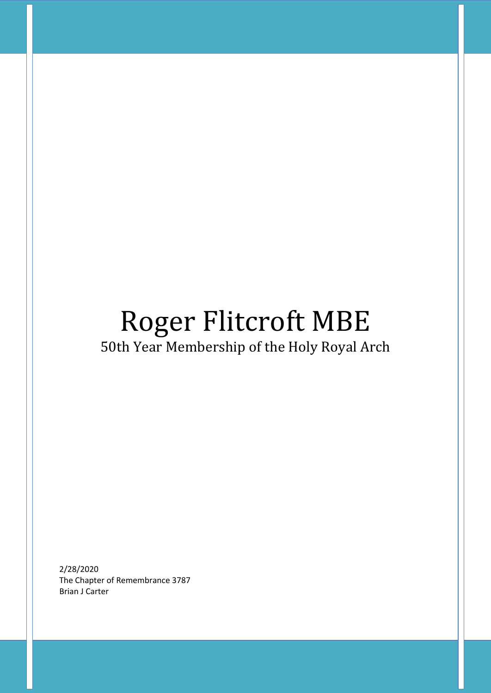## Roger Flitcroft MBE 50th Year Membership of the Holy Royal Arch

2/28/2020 The Chapter of Remembrance 3787 Brian J Carter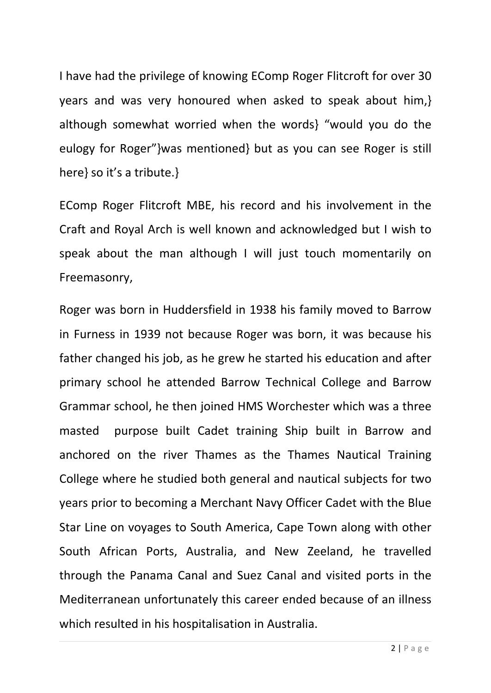I have had the privilege of knowing EComp Roger Flitcroft for over 30 years and was very honoured when asked to speak about him,} although somewhat worried when the words} "would you do the eulogy for Roger"}was mentioned} but as you can see Roger is still here} so it's a tribute.}

EComp Roger Flitcroft MBE, his record and his involvement in the Craft and Royal Arch is well known and acknowledged but I wish to speak about the man although I will just touch momentarily on Freemasonry,

Roger was born in Huddersfield in 1938 his family moved to Barrow in Furness in 1939 not because Roger was born, it was because his father changed his job, as he grew he started his education and after primary school he attended Barrow Technical College and Barrow Grammar school, he then joined HMS Worchester which was a three masted purpose built Cadet training Ship built in Barrow and anchored on the river Thames as the Thames Nautical Training College where he studied both general and nautical subjects for two years prior to becoming a Merchant Navy Officer Cadet with the Blue Star Line on voyages to South America, Cape Town along with other South African Ports, Australia, and New Zeeland, he travelled through the Panama Canal and Suez Canal and visited ports in the Mediterranean unfortunately this career ended because of an illness which resulted in his hospitalisation in Australia.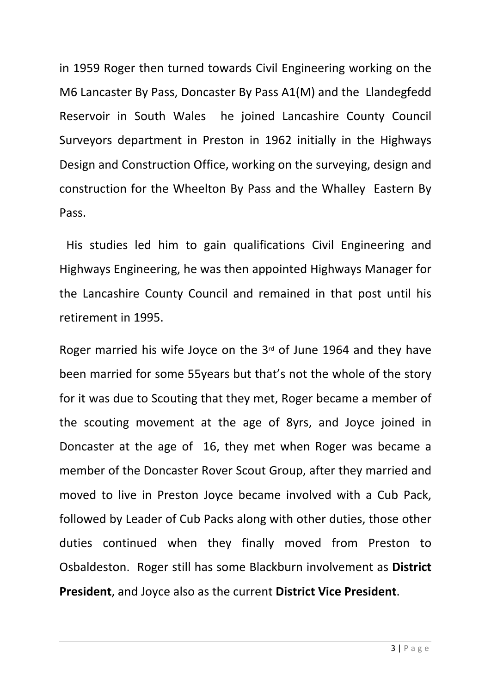in 1959 Roger then turned towards Civil Engineering working on the M6 Lancaster By Pass, Doncaster By Pass A1(M) and the Llandegfedd Reservoir in South Wales he joined Lancashire County Council Surveyors department in Preston in 1962 initially in the Highways Design and Construction Office, working on the surveying, design and construction for the Wheelton By Pass and the Whalley Eastern By Pass.

His studies led him to gain qualifications Civil Engineering and Highways Engineering, he was then appointed Highways Manager for the Lancashire County Council and remained in that post until his retirement in 1995.

Roger married his wife Joyce on the  $3<sup>rd</sup>$  of June 1964 and they have been married for some 55years but that's not the whole of the story for it was due to Scouting that they met, Roger became a member of the scouting movement at the age of 8yrs, and Joyce joined in Doncaster at the age of 16, they met when Roger was became a member of the Doncaster Rover Scout Group, after they married and moved to live in Preston Joyce became involved with a Cub Pack, followed by Leader of Cub Packs along with other duties, those other duties continued when they finally moved from Preston to Osbaldeston. Roger still has some Blackburn involvement as **District President**, and Joyce also as the current **District Vice President**.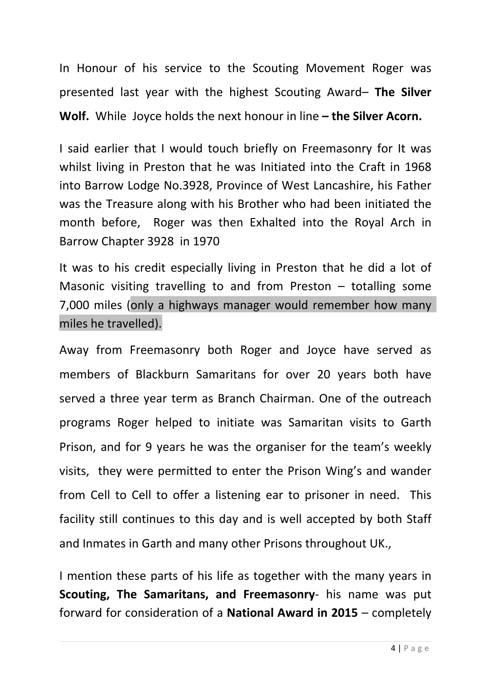In Honour of his service to the Scouting Movement Roger was presented last year with the highest Scouting Award– **The Silver Wolf.** WhileJoyce holds the next honour in line **– the Silver Acorn.**

I said earlier that I would touch briefly on Freemasonry for It was whilst living in Preston that he was Initiated into the Craft in 1968 into Barrow Lodge No.3928, Province of West Lancashire, his Father was the Treasure along with his Brother who had been initiated the month before, Roger was then Exhalted into the Royal Arch in Barrow Chapter 3928 in 1970

It was to his credit especially living in Preston that he did a lot of Masonic visiting travelling to and from Preston  $-$  totalling some 7,000 miles (only a highways manager would remember how many miles he travelled).

Away from Freemasonry both Roger and Joyce have served as members of Blackburn Samaritans for over 20 years both have served a three year term as Branch Chairman. One of the outreach programs Roger helped to initiate was Samaritan visits to Garth Prison, and for 9 years he was the organiser for the team's weekly visits, they were permitted to enter the Prison Wing's and wander from Cell to Cell to offer a listening ear to prisoner in need. This facility still continues to this day and is well accepted by both Staff and Inmates in Garth and many other Prisons throughout UK.,

I mention these parts of his life as together with the many years in **Scouting, The Samaritans, and Freemasonry**- his name was put forward for consideration of a **National Award in 2015** – completely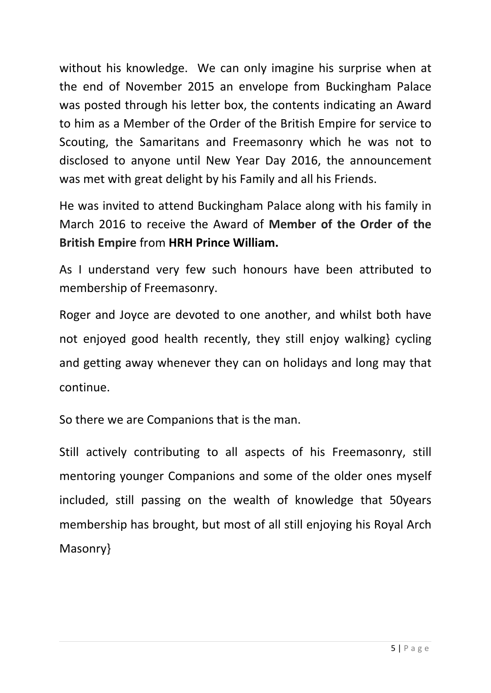without his knowledge. We can only imagine his surprise when at the end of November 2015 an envelope from Buckingham Palace was posted through his letter box, the contents indicating an Award to him as a Member of the Order of the British Empire for service to Scouting, the Samaritans and Freemasonry which he was not to disclosed to anyone until New Year Day 2016, the announcement was met with great delight by his Family and all his Friends.

He was invited to attend Buckingham Palace along with his family in March 2016 to receive the Award of **Member of the Order of the British Empire** from **HRH Prince William.**

As I understand very few such honours have been attributed to membership of Freemasonry.

Roger and Joyce are devoted to one another, and whilst both have not enjoyed good health recently, they still enjoy walking} cycling and getting away whenever they can on holidays and long may that continue.

So there we are Companions that is the man.

Still actively contributing to all aspects of his Freemasonry, still mentoring younger Companions and some of the older ones myself included, still passing on the wealth of knowledge that 50years membership has brought, but most of all still enjoying his Royal Arch Masonry}